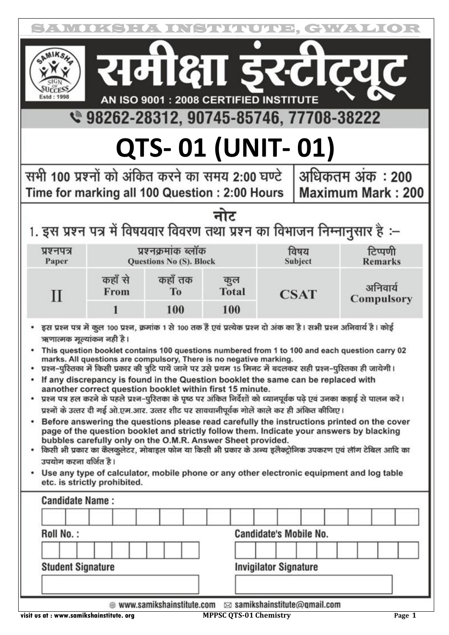| समंक्षा इस्टीट्यूट<br>AN ISO 9001 : 2008 CERTIFIED INSTITUTE<br>९ 98262-28312, 90745-85746, 77708-38222<br>QTS-01 (UNIT-01)<br>सभी 100 प्रश्नों को अंकित करने का समय 2:00 घण्टे<br>अधिकतम अंक : 200<br>Time for marking all 100 Question : 2:00 Hours                                                                                                                                                                                                                                                                                                                                                                                                                                                                                                                                                                                                                                                                                                                                                                                                                                                                                                                                                                                                                                                                                                                                                                                                                                                     |                          |  |  |  |  |
|-----------------------------------------------------------------------------------------------------------------------------------------------------------------------------------------------------------------------------------------------------------------------------------------------------------------------------------------------------------------------------------------------------------------------------------------------------------------------------------------------------------------------------------------------------------------------------------------------------------------------------------------------------------------------------------------------------------------------------------------------------------------------------------------------------------------------------------------------------------------------------------------------------------------------------------------------------------------------------------------------------------------------------------------------------------------------------------------------------------------------------------------------------------------------------------------------------------------------------------------------------------------------------------------------------------------------------------------------------------------------------------------------------------------------------------------------------------------------------------------------------------|--------------------------|--|--|--|--|
|                                                                                                                                                                                                                                                                                                                                                                                                                                                                                                                                                                                                                                                                                                                                                                                                                                                                                                                                                                                                                                                                                                                                                                                                                                                                                                                                                                                                                                                                                                           |                          |  |  |  |  |
|                                                                                                                                                                                                                                                                                                                                                                                                                                                                                                                                                                                                                                                                                                                                                                                                                                                                                                                                                                                                                                                                                                                                                                                                                                                                                                                                                                                                                                                                                                           |                          |  |  |  |  |
|                                                                                                                                                                                                                                                                                                                                                                                                                                                                                                                                                                                                                                                                                                                                                                                                                                                                                                                                                                                                                                                                                                                                                                                                                                                                                                                                                                                                                                                                                                           | <b>Maximum Mark: 200</b> |  |  |  |  |
| नोट<br>1. इस प्रश्न पत्र में विषयवार विवरण तथा प्रश्न का विभाजन निम्नानुसार है :–                                                                                                                                                                                                                                                                                                                                                                                                                                                                                                                                                                                                                                                                                                                                                                                                                                                                                                                                                                                                                                                                                                                                                                                                                                                                                                                                                                                                                         |                          |  |  |  |  |
| टिप्पणी<br>प्रश्नक्रमांक ब्लॉक<br>विषय<br>प्रश्नपत्र<br><b>Remarks</b><br>Paper<br>Questions No (S). Block<br>Subject                                                                                                                                                                                                                                                                                                                                                                                                                                                                                                                                                                                                                                                                                                                                                                                                                                                                                                                                                                                                                                                                                                                                                                                                                                                                                                                                                                                     |                          |  |  |  |  |
| कहाँ से<br>कहाँ तक<br>कुल<br>अनिवार्य<br><b>Total</b><br>From<br><b>To</b><br>$\mathbf{I}$<br><b>CSAT</b><br>Compulsory<br>100<br>100<br>1                                                                                                                                                                                                                                                                                                                                                                                                                                                                                                                                                                                                                                                                                                                                                                                                                                                                                                                                                                                                                                                                                                                                                                                                                                                                                                                                                                |                          |  |  |  |  |
| इस प्रश्न पत्र में कुल 100 प्रश्न, क्रमांक 1 से 100 तक हैं एवं प्रत्येक प्रश्न दो अंक का है। सभी प्रश्न अनिवार्य है। कोई<br>ऋणात्मक मूल्यांकन नही है।<br>This question booklet contains 100 questions numbered from 1 to 100 and each question carry 02<br>marks. All questions are compulsory, There is no negative marking.<br>प्रश्न-पुरितका में किसी प्रकार की त्रुटि पायें जाने पर उसे प्रथम 15 मिनट में बदलकर सही प्रश्न-पुरितका ही जायेगी।<br>If any discrepancy is found in the Question booklet the same can be replaced with<br>aanother correct question booklet within first 15 minute.<br>प्रश्न पत्र हल करने के पहले प्रश्न-पुरितका के पृष्ठ पर अंकित निर्देशों को ध्यानपूर्वक पढ़े एवं उनका कड़ाई से पालन करें।<br>٠<br>प्रश्नों के उत्तर दी गई ओ.एम.आर. उत्तर शीट पर सावधानीपूर्वक गोलें काले कर ही अंकित कीजिए।<br>Before answering the questions please read carefully the instructions printed on the cover<br>٠<br>page of the question booklet and strictly follow them. Indicate your answers by blacking<br>bubbles carefully only on the O.M.R. Answer Sheet provided.<br>किसी भी प्रकार का कैलकुलेटर, मोबाइल फोन या किसी भी प्रकार के अन्य इलैक्ट्रोनिक उपकरण एवं लॉग टेबिल आदि का<br>उपयोग करना वर्जित है।<br>Use any type of calculator, mobile phone or any other electronic equipment and log table<br>٠<br>etc. is strictly prohibited.<br><b>Candidate Name:</b><br>Roll No.:<br><b>Candidate's Mobile No.</b><br><b>Student Signature</b><br><b>Invigilator Signature</b> |                          |  |  |  |  |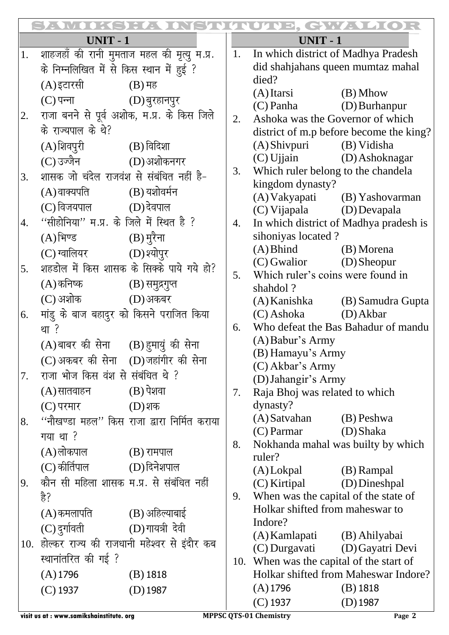|        | <u>EL DISTURITION ENVITOR</u>            |                                               |                                |                                                                 |                                         |  |
|--------|------------------------------------------|-----------------------------------------------|--------------------------------|-----------------------------------------------------------------|-----------------------------------------|--|
| UNIT-1 |                                          |                                               |                                | UNIT - 1                                                        |                                         |  |
| 1.     |                                          | शाहजहाँ की रानी मुमताज महल की मृत्यू म.प्र.   | 1.                             | In which district of Madhya Pradesh                             |                                         |  |
|        | के निम्नलिखित में से किस स्थान में हुई ? |                                               |                                | did shahjahans queen mumtaz mahal                               |                                         |  |
|        | (A)इटारसी                                | $(B)$ मह                                      |                                | died?                                                           |                                         |  |
|        | (C) पन्ना (D) बुरहानपुर                  |                                               |                                | $(A)$ Itarsi                                                    | $(B)$ Mhow                              |  |
| 2.     |                                          | राजा बनने से पूर्व अशोक, म.प्र. के किस जिले   |                                | (C) Panha (D) Burhanpur                                         |                                         |  |
|        | के राज्यपाल के थे?                       |                                               | 2.                             | Ashoka was the Governor of which                                |                                         |  |
|        |                                          |                                               |                                |                                                                 | district of m.p before become the king? |  |
|        | (A) शिवपुरी (B) विदिशा                   |                                               |                                | (A) Shivpuri (B) Vidisha                                        |                                         |  |
|        | (C) उज्जैन                  (D) अशोकनगर  |                                               | 3.                             | (C) Ujjain (D) Ashoknagar<br>Which ruler belong to the chandela |                                         |  |
| 3.     | शासक जो चंदेल राजवंश से संबंधित नहीं है- |                                               |                                | kingdom dynasty?                                                |                                         |  |
|        | $(A)$ वाक्यपति $(B)$ यशोवर्मन            |                                               |                                |                                                                 | (A) Vakyapati (B) Yashovarman           |  |
|        | $(C)$ विजयपाल $(D)$ देवपाल               |                                               |                                | (C) Vijapala (D) Devapala                                       |                                         |  |
| 4.     | "सीहोनिया" म.प्र. के जिले में स्थित है ? |                                               | 4.                             |                                                                 | In which district of Madhya pradesh is  |  |
|        | $(A)$ भिण्ड $(B)$ मुरैना                 |                                               |                                | sihoniyas located?                                              |                                         |  |
|        | (C) ग्वालियर (D) श्योपुर                 |                                               |                                | (A) Bhind (B) Morena                                            |                                         |  |
| 5.     |                                          | शहडोल में किस शासक के सिक्के पाये गये हो?     |                                | $(C)$ Gwalior $(D)$ Sheopur                                     |                                         |  |
|        |                                          |                                               | 5.                             | Which ruler's coins were found in                               |                                         |  |
|        | (A) कनिष्क (B) समुद्रगुप्त               |                                               |                                | shahdol?                                                        |                                         |  |
|        | (C) अशोक (D) अकबर                        |                                               |                                |                                                                 | (A) Kanishka (B) Samudra Gupta          |  |
| 6.     |                                          | मांडु के बाज बहादुर को किसने पराजित किया      |                                | $(C)$ Ashoka $(D)$ Akbar                                        |                                         |  |
|        | था ?                                     |                                               | 6.                             | Who defeat the Bas Bahadur of mandu                             |                                         |  |
|        | (A)बाबर की सेना (B) हुमायुं की सेना      |                                               |                                | $(A)$ Babur's Army                                              |                                         |  |
|        | (C) अकबर की सेना (D) जहांगीर की सेना     |                                               |                                | (B) Hamayu's Army                                               |                                         |  |
| 7.     | राजा भोज किस वंश से संबंधित थे ?         |                                               |                                | $(C)$ Akbar's Army                                              |                                         |  |
|        | $(A)$ सातवाहन $(B)$ पेशवा                |                                               | 7.                             | (D) Jahangir's Army<br>Raja Bhoj was related to which           |                                         |  |
|        | (C) परमार                                | $(D)$ शक                                      |                                | dynasty?                                                        |                                         |  |
|        |                                          | ''नौखण्डा महल'' किस राजा द्वारा निर्मित कराया |                                | (A) Satvahan                                                    | (B) Peshwa                              |  |
| 8.     |                                          |                                               |                                | $(C)$ Parmar                                                    | (D) Shaka                               |  |
|        | गया था ?                                 |                                               | 8.                             | Nokhanda mahal was builty by which                              |                                         |  |
|        | $(A)$ लोकपाल $(B)$ रामपाल                |                                               |                                | ruler?                                                          |                                         |  |
|        | $(C)$ कीर्तिपाल $(D)$ दिनेशपाल           |                                               |                                | $(A)$ Lokpal                                                    | (B) Rampal                              |  |
| 9.     |                                          | कौन सी महिला शासक म.प्र. से संबंधित नहीं      |                                | (C) Kirtipal                                                    | (D) Dineshpal                           |  |
|        | है?                                      |                                               | 9.                             | When was the capital of the state of                            |                                         |  |
|        | $(A)$ कमलापति $(B)$ अहिल्याबाई           |                                               |                                | Holkar shifted from maheswar to                                 |                                         |  |
|        | (C) दुर्गावती (D) गायत्री देवी           |                                               |                                | Indore?                                                         |                                         |  |
| 10.    |                                          | होल्कर राज्य की राजधानी महेश्वर से इंदौर कब   |                                | (A) Kamlapati (B) Ahilyabai                                     |                                         |  |
|        | स्थानांतरित की गई ?                      |                                               | (C) Durgavati (D) Gayatri Devi |                                                                 |                                         |  |
|        |                                          |                                               | 10.                            | When was the capital of the start of                            |                                         |  |
|        | $(A)$ 1796                               | $(B)$ 1818                                    |                                |                                                                 | Holkar shifted from Maheswar Indore?    |  |
|        | $(C)$ 1937                               | $(D)$ 1987                                    |                                | $(A)$ 1796                                                      | $(B)$ 1818                              |  |
|        |                                          |                                               |                                | $(C)$ 1937                                                      | $(D)$ 1987                              |  |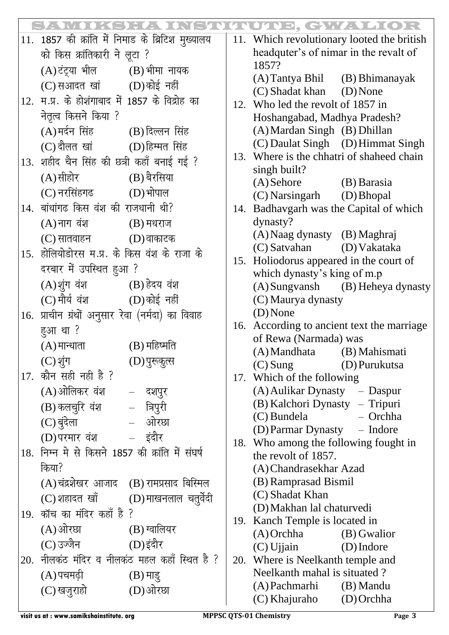|     |                                                   |            |                                                                | <b>INOINE, GWANDIOR</b>                                              |                                            |  |
|-----|---------------------------------------------------|------------|----------------------------------------------------------------|----------------------------------------------------------------------|--------------------------------------------|--|
|     | 11. 1857 की क्रांति में निमाड के ब्रिटिश मुख्यालय |            |                                                                |                                                                      | 11. Which revolutionary looted the british |  |
|     | को किस क्रांतिकारी ने लूटा ?                      |            |                                                                | headquter's of nimar in the revalt of                                |                                            |  |
|     | (A)टंट्र्या भील         (B) भीमा नायक             |            |                                                                | 1857?                                                                |                                            |  |
|     | $(C)$ सआदत खां $(D)$ कोई नहीं                     |            |                                                                | (A) Tantya Bhil (B) Bhimanayak<br>(C) Shadat khan (D) None           |                                            |  |
|     | 12. म.प्र. के होशंगाबाद में 1857 के विद्रोह का    |            |                                                                | 12. Who led the revolt of 1857 in                                    |                                            |  |
|     | नेतृत्व किसने किया ?                              |            |                                                                |                                                                      | Hoshangabad, Madhya Pradesh?               |  |
|     | (A)मर्दन सिंह (B) दिल्लन सिंह                     |            |                                                                | (A) Mardan Singh (B) Dhillan                                         |                                            |  |
|     | (C) दौलत खां (D)हिम्मत सिंह                       |            |                                                                |                                                                      | (C) Daulat Singh (D) Himmat Singh          |  |
|     | 13. शहीद चैन सिंह की छत्री कहाँ बनाई गई ?         |            |                                                                |                                                                      | 13. Where is the chhatri of shaheed chain  |  |
|     |                                                   |            |                                                                | singh built?                                                         |                                            |  |
|     | $(A)$ सीहोर $(B)$ बैरसिया                         |            |                                                                | $(A)$ Sehore $(B)$ Barasia                                           |                                            |  |
|     | $(C)$ नरसिंहगढ $(D)$ भोपाल                        |            |                                                                | (C) Narsingarh (D) Bhopal                                            |                                            |  |
| 14. | बांधांगढ किस वंश की राजधानी थी?                   |            |                                                                |                                                                      | 14. Badhavgarh was the Capital of which    |  |
|     | $(A)$ नाग वंश $(B)$ मधराज                         |            |                                                                | dynasty?                                                             |                                            |  |
|     | $(C)$ सातवाहन $(D)$ वाकाटक                        |            |                                                                | (A) Naag dynasty (B) Maghraj                                         |                                            |  |
|     | 15. होलियोडोरस म.प्र. के किस वंश के राजा के       |            |                                                                | (C) Satvahan (D) Vakataka<br>15. Holiodorus appeared in the court of |                                            |  |
|     | दरबार में उपस्थित हुआ ?                           |            |                                                                | which dynasty's king of m.p                                          |                                            |  |
|     | (A) शुंग वंश (B) हेदय वंश                         |            |                                                                |                                                                      | (A) Sungvansh (B) Heheya dynasty           |  |
|     | $(C)$ मौर्य वंश $(D)$ कोई नहीं                    |            |                                                                | (C) Maurya dynasty                                                   |                                            |  |
|     | 16. प्राचीन ग्रंथों अनुसार रेवा (नर्मदा) का विवाह |            |                                                                | $(D)$ None                                                           |                                            |  |
|     | हुआ था ?                                          |            |                                                                |                                                                      | 16. According to ancient text the marriage |  |
|     | $(A)$ मान्धाता $(B)$ महिष्मति                     |            |                                                                | of Rewa (Narmada) was                                                |                                            |  |
|     | (C) शुंग (D) पुरुकुत्स                            |            |                                                                | (A) Mandhata (B) Mahismati                                           |                                            |  |
|     | 17. कौन सही नही है ?                              |            |                                                                | $(C)$ Sung                                                           | (D) Purukutsa                              |  |
|     | (A)ओलिकर वंश - दशपुर                              |            |                                                                | 17. Which of the following                                           |                                            |  |
|     |                                                   |            | (A) Aulikar Dynasty – Daspur<br>(B) Kalchori Dynasty – Tripuri |                                                                      |                                            |  |
|     | (B) कलचुरि वंश - त्रिपुरी                         |            |                                                                | (C) Bundela                                                          | - Orchha                                   |  |
|     | – ओरछा<br>(C) बुंदेला                             |            |                                                                | (D) Parmar Dynasty – Indore                                          |                                            |  |
|     | (D)परमार वंश                                      | – इंदौर    | 18. Who among the following fought in                          |                                                                      |                                            |  |
|     | 18. निम्न मे से किसने 1857 की क्रांति में संघर्ष  |            | the revolt of 1857.                                            |                                                                      |                                            |  |
|     | किया?                                             |            |                                                                | (A) Chandrasekhar Azad                                               |                                            |  |
|     | (A)चंद्रशेखर आजाद   (B) रामप्रसाद बिस्मिल         |            |                                                                | (B) Ramprasad Bismil                                                 |                                            |  |
|     | (C) शहादत खाँ (D) माखनलाल चतुर्वेदी               |            |                                                                | (C) Shadat Khan                                                      |                                            |  |
|     | 19. कॉच का मंदिर कहाँ है ?                        |            | (D) Makhan lal chaturvedi                                      |                                                                      |                                            |  |
|     | (A)ओरछा (B) ग्वालियर                              |            | 19.                                                            | Kanch Temple is located in<br>$(A)$ Orchha                           | (B) Gwalior                                |  |
|     | (C) उज्जैन                  (D) इंदौर             |            |                                                                | $(C)$ Ujjain                                                         | $(D)$ Indore                               |  |
|     | 20. नीलकंट मंदिर व नीलकंट महल कहाँ स्थित है ?     |            | 20.                                                            | Where is Neelkanth temple and                                        |                                            |  |
|     | (A)पचमढ़ी                                         | $(B)$ माडू |                                                                | Neelkanth mahal is situated?                                         |                                            |  |
|     | (C) खजूराहो                                       | (D)ओरछा    |                                                                | (A) Pachmarhi                                                        | (B) Mandu                                  |  |
|     |                                                   |            |                                                                | (C) Khajuraho                                                        | $(D)$ Orchha                               |  |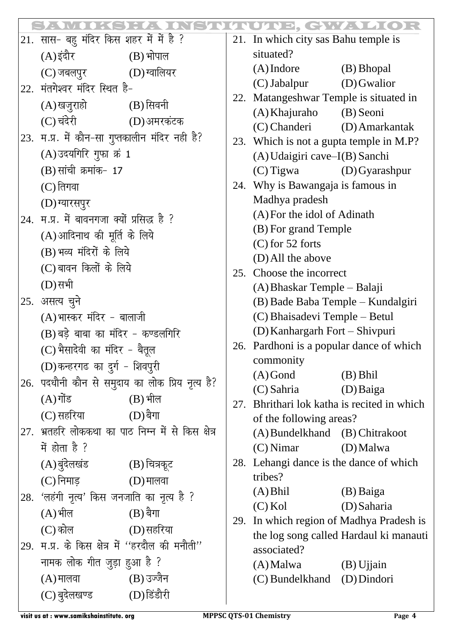|     |                                                               |                                                    |     | UINE, GWALLOR                                                        |                                        |
|-----|---------------------------------------------------------------|----------------------------------------------------|-----|----------------------------------------------------------------------|----------------------------------------|
|     | 21. सास- बहु मंदिर किस शहर में में है ?                       |                                                    |     | 21. In which city sas Bahu temple is                                 |                                        |
|     | (A)इंदौर                                                      | $(B)$ भोपाल                                        |     | situated?                                                            |                                        |
|     | (C) जबलपुर (D) ग्वालियर                                       |                                                    |     | $(A)$ Indore                                                         | (B) Bhopal                             |
| 22. | मंतगेश्वर मंदिर स्थित है-                                     |                                                    |     | (C) Jabalpur                                                         | (D) Gwalior                            |
|     | (A) खजुराहो                (B) सिवनी                          |                                                    | 22. | Matangeshwar Temple is situated in                                   |                                        |
|     | (C) चंदेरी                                                    | (D)अमरकंटक                                         |     | (A) Khajuraho                                                        | (B) Seoni                              |
|     | $\left 23.\right.$ म.प्र. में कौन-सा गुप्तकालीन मंदिर नही है? |                                                    |     | (C) Chanderi (D) Amarkantak                                          |                                        |
|     | (A) उदयगिरि गुफा क्रं 1                                       |                                                    | 23. | Which is not a gupta temple in M.P?<br>(A) Udaigiri cave-I(B) Sanchi |                                        |
|     | (B) सांची क्रमांक- 17                                         |                                                    |     | $(C)$ Tigwa                                                          | $(D)$ Gyarashpur                       |
|     | $(C)$ तिगवा                                                   |                                                    | 24. |                                                                      |                                        |
|     |                                                               |                                                    |     | Why is Bawangaja is famous in<br>Madhya pradesh                      |                                        |
|     | (D) ग्यारसपुर                                                 |                                                    |     | (A) For the idol of Adinath                                          |                                        |
|     | 24. म.प्र. में बावनगजा क्यों प्रसिद्ध है ?                    |                                                    |     | (B) For grand Temple                                                 |                                        |
|     | (A)आदिनाथ की मूर्ति के लिये<br>(B) भव्य मंदिरों के लिये       |                                                    |     | $(C)$ for 52 forts                                                   |                                        |
|     |                                                               |                                                    |     | (D) All the above                                                    |                                        |
|     | (C) बावन किलों के लिये                                        |                                                    | 25. | Choose the incorrect                                                 |                                        |
|     | (D) सभी                                                       |                                                    |     | (A) Bhaskar Temple – Balaji                                          |                                        |
|     | 25. असत्य चुने                                                |                                                    |     | (B) Bade Baba Temple - Kundalgiri                                    |                                        |
|     | (A) भास्कर मंदिर - बालाजी                                     |                                                    |     | (C) Bhaisadevi Temple – Betul                                        |                                        |
|     | (B) बड़े बाबा का मंदिर - कण्डलगिरि                            |                                                    |     | (D) Kanhargarh Fort - Shivpuri                                       |                                        |
|     | (C) भैसादेवी का मंदिर - बैतूल                                 |                                                    |     | 26. Pardhoni is a popular dance of which                             |                                        |
|     | (D)कन्हरगढ का दुर्ग - शिवपुरी                                 |                                                    |     | commonity                                                            |                                        |
|     |                                                               | 26. पदधौनी कौन से समुदाय का लोक प्रिय नृत्य है?    |     | $(A)$ Gond<br>(C) Sahria                                             | $(B)$ Bhil<br>(D) Baiga                |
|     | $(A)$ गोंड $(B)$ भील                                          |                                                    | 27. |                                                                      |                                        |
|     | (C) सहरिया                                                    | $(D)$ बैगा                                         |     | Bhrithari lok katha is recited in which<br>of the following areas?   |                                        |
|     |                                                               | 27. भ्रतहरि लोककथा का पाठ निम्न में से किस क्षेत्र |     | (A) Bundelkhand (B) Chitrakoot                                       |                                        |
|     | में होता है ?                                                 |                                                    |     | $(C)$ Nimar                                                          | (D) Malwa                              |
|     | (A) बुंदेलखंड (B) चित्रकूट                                    |                                                    |     | 28. Lehangi dance is the dance of which                              |                                        |
|     | $(C)$ निमाड़ $(D)$ मालवा                                      |                                                    |     | tribes?                                                              |                                        |
|     | 28. 'लहंगी नृत्य' किस जनजाति का नृत्य है ?                    |                                                    |     | $(A)$ Bhil                                                           | (B) Baiga                              |
|     | $(A)$ भील                                                     | $(B)$ बैगा                                         |     | $(C)$ Kol                                                            | (D) Saharia                            |
|     | $(C)$ कोल $(D)$ सहरिया                                        |                                                    | 29. |                                                                      | In which region of Madhya Pradesh is   |
| 29. | म.प्र. के किस क्षेत्र में ''हरदौल की मनौती''                  |                                                    |     |                                                                      | the log song called Hardaul ki manauti |
|     |                                                               |                                                    |     | associated?                                                          |                                        |
|     | नामक लोक गीत जुड़ा हुआ है ?                                   |                                                    |     | $(A)$ Malwa $(B)$ Ujjain                                             |                                        |
|     | $(A)$ मालवा $(B)$ उज्जैन                                      |                                                    |     | (C) Bundelkhand (D) Dindori                                          |                                        |
|     | (C) बुदेलखण्ड                                                 | (D)डिंडौरी                                         |     |                                                                      |                                        |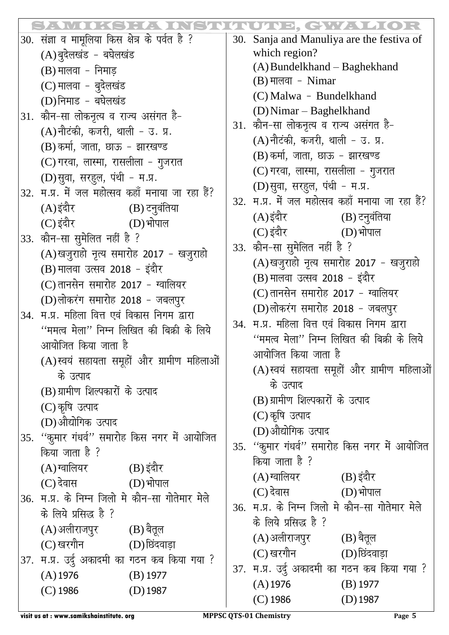|     |                                                                                                                                                                                                                                         |     | 103, GWADOR                                      |  |
|-----|-----------------------------------------------------------------------------------------------------------------------------------------------------------------------------------------------------------------------------------------|-----|--------------------------------------------------|--|
|     | 30. संज्ञा व मामूलिया किस क्षेत्र के पर्वत है ?                                                                                                                                                                                         | 30. | Sanja and Manuliya are the festiva of            |  |
|     | (A) बुदेलखंड - बघेलखंड                                                                                                                                                                                                                  |     | which region?                                    |  |
|     | $(B)$ मालवा - निमाड़<br>(C) मालवा - बुदेलखंड<br>(D) निमाड - बघेलखंड                                                                                                                                                                     |     | (A) Bundelkhand – Baghekhand                     |  |
|     |                                                                                                                                                                                                                                         |     | $(B)$ मालवा - Nimar                              |  |
|     |                                                                                                                                                                                                                                         |     | (C) Malwa - Bundelkhand                          |  |
| 31. | कौन-सा लोकनृत्य व राज्य असंगत है-                                                                                                                                                                                                       |     | (D) Nimar – Baghelkhand                          |  |
|     | (A) नौटंकी, कजरी, थाली - उ. प्र.                                                                                                                                                                                                        |     | 31. कौन-सा लोकनृत्य व राज्य असंगत है-            |  |
|     | (B) कर्मा, जाता, छाऊ - झारखण्ड                                                                                                                                                                                                          |     | (A) नौटंकी, कजरी, थाली - उ. प्र.                 |  |
|     | (C) गरवा, लास्मा, रासलीला - गुजरात                                                                                                                                                                                                      |     | (B) कर्मा, जाता, छाऊ - झारखण्ड                   |  |
|     | (D) सुवा, सरहुल, पंथी - म.प्र.                                                                                                                                                                                                          |     | (C) गरवा, लास्मा, रासलीला - गुजरात               |  |
| 32. | म.प्र. में जल महोत्सव कहाँ मनाया जा रहा हैं?                                                                                                                                                                                            |     | (D) सुवा, सरहुल, पंथी - म.प्र.                   |  |
|     | (A)इंदौर<br>(B) टनुर्वंतिया                                                                                                                                                                                                             |     | 32. म.प्र. में जल महोत्सव कहाँ मनाया जा रहा हैं? |  |
|     | (C) इंदौर<br>$(D)$ भोपाल                                                                                                                                                                                                                |     | (A) इंदौर<br>(B) टनुवंतिया                       |  |
|     | 33. कौन-सा सुमेलित नहीं है ?                                                                                                                                                                                                            |     | (C) इंदौर<br>$(D)$ भोपाल                         |  |
|     | (A)खजुराहो नृत्य समारोह 2017 - खजुराहो<br>(B) मालवा उत्सव 2018 - इंदौर<br>(C) तानसेन समारोह 2017 - ग्वालियर<br>(D)लोकरंग समारोह 2018 - जबलपुर<br>म.प्र. महिला वित्त एवं विकास निगम द्वारा<br>"ममत्व मेला" निम्न लिखित की बिक्री के लिये |     | 33. कौन-सा सुमेलित नहीं है ?                     |  |
|     |                                                                                                                                                                                                                                         |     | (A)खजुराहो नृत्य समारोह 2017 - खजुराहो           |  |
|     |                                                                                                                                                                                                                                         |     | (B) मालवा उत्सव 2018 - इंदौर                     |  |
|     |                                                                                                                                                                                                                                         |     | (C) तानसेन समारोह 2017 - ग्वालियर                |  |
| 34. |                                                                                                                                                                                                                                         |     | (D)लोकरंग समारोह 2018 - जबलपुर                   |  |
|     |                                                                                                                                                                                                                                         |     | म.प्र. महिला वित्त एवं विकास निगम द्वारा         |  |
|     | आयोजित किया जाता है                                                                                                                                                                                                                     |     | ''ममत्व मेला'' निम्न लिखित की बिक्री के लिये     |  |
|     |                                                                                                                                                                                                                                         |     | आयोजित किया जाता है                              |  |
|     | (A) स्वयं सहायता समूहों और ग्रामीण महिलाओं                                                                                                                                                                                              |     | (A)स्वयं सहायता समूहों और ग्रामीण महिलाओं        |  |
|     | के उत्पाद                                                                                                                                                                                                                               |     | के उत्पाद                                        |  |
|     | (B) ग्रामीण शिल्पकारों के उत्पाद                                                                                                                                                                                                        |     | (B) ग्रामीण शिल्पकारों के उत्पाद                 |  |
|     | (C) कृषि उत्पाद<br>(D)औद्योगिक उत्पाद                                                                                                                                                                                                   |     | (C) कृषि उत्पाद                                  |  |
|     |                                                                                                                                                                                                                                         |     | (D)औद्योगिक उत्पाद                               |  |
|     | 35. ''कुमार गंधर्व'' समारोह किस नगर में आयोजित                                                                                                                                                                                          |     | 35. "कुमार गंधर्व" समारोह किस नगर में आयोजित     |  |
|     | किया जाता है ?                                                                                                                                                                                                                          |     | किया जाता है ?                                   |  |
|     | (A) ग्वालियर<br>(B) इंदौर                                                                                                                                                                                                               |     | (A) ग्वालियर (B) इंदौर                           |  |
|     | $(C)$ देवास $(D)$ भोपाल                                                                                                                                                                                                                 |     | $(C)$ देवास $(D)$ भोपाल                          |  |
|     | 36. म.प्र. के निम्न जिलो मे कौन-सा गोतेमार मेले<br>के लिये प्रसिद्ध है ?                                                                                                                                                                |     | 36. म.प्र. के निम्न जिलो मे कौन-सा गोतेमार मेले  |  |
|     |                                                                                                                                                                                                                                         |     | के लिये प्रसिद्ध है ?                            |  |
|     | (A)अलीराजपुर<br>(B) बैतूल                                                                                                                                                                                                               |     | (A) अलीराजपुर<br>(B) बैतूल                       |  |
|     | (C) खरगौन<br>(D) छिंदवाड़ा                                                                                                                                                                                                              |     | (C) खरगौन                   (D) छिंदवाड़ा        |  |
|     | 37. म.प्र. उर्दु अकादमी का गठन कब किया गया ?                                                                                                                                                                                            |     | 37. म.प्र. उर्दु अकादमी का गठन कब किया गया ?     |  |
|     | $(A)$ 1976<br>$(B)$ 1977                                                                                                                                                                                                                |     | $(A)$ 1976<br>$(B)$ 1977                         |  |
|     | $(C)$ 1986<br>$(D)$ 1987                                                                                                                                                                                                                |     | $(C)$ 1986<br>$(D)$ 1987                         |  |
|     |                                                                                                                                                                                                                                         |     |                                                  |  |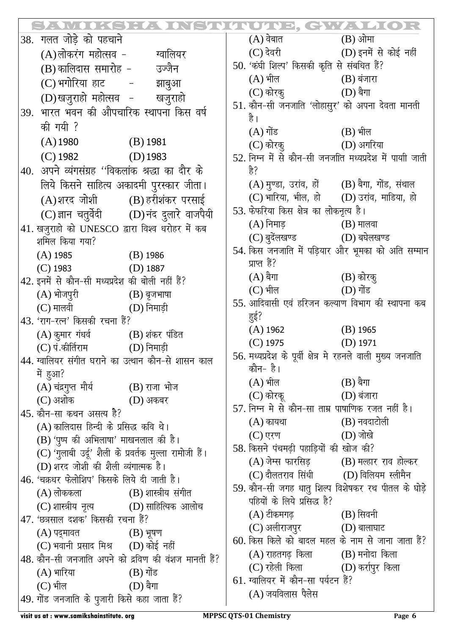|                                             |                                                                                                 |                                                     | <u>SEINUIUD, GWADOR</u>                                                           |                                                   |
|---------------------------------------------|-------------------------------------------------------------------------------------------------|-----------------------------------------------------|-----------------------------------------------------------------------------------|---------------------------------------------------|
|                                             | 38. गलत जोड़े को पहचाने                                                                         |                                                     | $(A)$ वेबात $(B)$ ओमा                                                             |                                                   |
|                                             | (A)लोकरंग महोत्सव - ज्यालियर                                                                    |                                                     | $(C)$ देवरी $(D)$ इनमें से कोई नहीं                                               |                                                   |
|                                             | (B) कालिदास समारोह - जज्जैन                                                                     |                                                     | 50. 'कंघी शिल्प' किसकी कृति से संबधित हैं?                                        |                                                   |
|                                             | (C) भगोरिया हाट - झाबुआ                                                                         |                                                     | $(A)$ भील $(B)$ बंजारा                                                            |                                                   |
|                                             | (D)खजुराहो महोत्सव - खजुराहो                                                                    |                                                     | $(C)$ कोरक़् $(D)$ बैगा                                                           |                                                   |
| भारत भवन की औपचारिक स्थापना किस वर्ष<br>39. |                                                                                                 |                                                     | 51. कौन-सी जनजाति 'लोहासुर' को अपना देवता मानती<br>है ।                           |                                                   |
|                                             | की गयी ?                                                                                        |                                                     | $(A)$ गोंड $(B)$ भील                                                              |                                                   |
|                                             | $(A)$ 1980 $(B)$ 1981                                                                           |                                                     | $(C)$ कोरकू $(D)$ अगरिया                                                          |                                                   |
|                                             | $(C)$ 1982 $(D)$ 1983                                                                           |                                                     | 52. निम्न में से कौन-सी जनजाति मध्यप्रदेश में पायाी जाती                          |                                                   |
|                                             | 40. अपने व्यंगसंग्रह ''विकलांक श्रद्धा का दौर के                                                |                                                     | है?                                                                               |                                                   |
|                                             | लिये किसने साहित्य अकादमी पुरस्कार जीता।                                                        |                                                     | (A) मुण्डा, उरांव, हों (B) बैगा, गोंड, संथाल                                      |                                                   |
|                                             | (A)शरद जोशी (B) हरीशंकर परसाई                                                                   |                                                     | (C) भारिया, भील, हो (D) उरांव, माडिया, हो                                         |                                                   |
|                                             |                                                                                                 | (C) ज्ञान चतुर्वेदी (D) नंद दुलारे वाजपैयी          | 53. फेफरिया किस क्षेत्र का लोकनृत्य है।                                           |                                                   |
|                                             | $ 41$ . खज़ूराहो को UNESCO द्वारा विश्व धरोहर में कब                                            |                                                     | $(A)$ निमाड़ $(B)$ मालवा                                                          |                                                   |
|                                             | शमिल किया गया?                                                                                  |                                                     | $(C)$ बुदेंलखण्ड $(D)$ बघेलखण्ड                                                   |                                                   |
|                                             | $(A)$ 1985 $(B)$ 1986                                                                           |                                                     |                                                                                   | 54. किस जनजाति में पड़ियार और भूमका को अति सम्मान |
|                                             | $(C)$ 1983 $(D)$ 1887                                                                           |                                                     | प्राप्त हैं?                                                                      |                                                   |
|                                             | 42. इनमें से कौन-सी मध्यप्रदेश की बोली नहीं हैं?                                                |                                                     | $(A)$ बैगा $(B)$ कोरकू                                                            |                                                   |
|                                             | (A) भोजपुरी (B) बृजभाषा                                                                         |                                                     | $(C)$ भील $(D)$ गोंड                                                              |                                                   |
|                                             | $(C)$ मालवी $(D)$ निमाड़ी                                                                       |                                                     | 55. आदिवासी एवं हरिजन कल्याण विभाग की स्थापना कब                                  |                                                   |
|                                             | 43. 'राग-रत्न' किसकी रचना हैं?                                                                  |                                                     | हुई?                                                                              |                                                   |
|                                             | $(A)$ कुमार गंधर्व $(B)$ शंकर पंडित                                                             |                                                     | $(A)$ 1962 $(B)$ 1965                                                             |                                                   |
|                                             | $(C)$ पं.कीर्तिराम $(D)$ निमाड़ी                                                                |                                                     | $(D)$ 1975 $(D)$ 1971                                                             |                                                   |
|                                             | $\vert$ 44. ग्वालियर संगीत घराने का उत्थान कौन-से शासन काल                                      |                                                     | 56. मध्यप्रदेश के पूर्वी क्षेत्र मे रहनले वाली मुख्य जनजाति                       |                                                   |
|                                             | में हुआ?                                                                                        |                                                     | कौन- है।                                                                          |                                                   |
|                                             | (A) चंद्रगुप्त मौर्य (B) राजा भोज                                                               |                                                     | $(A)$ भील $(B)$ बैगा                                                              |                                                   |
|                                             | $(C)$ अशोक $(D)$ अकबर                                                                           |                                                     | $(C)$ कोरकू $(D)$ बंजारा                                                          |                                                   |
|                                             | $\vert 45$ . कौन-सा कथन असत्य है?                                                               |                                                     | 57. निम्न मे से कौन-सा ताम्र पाषाणिक रजत नहीं है।                                 |                                                   |
|                                             | (A) कालिदास हिन्दी के प्रसिद्ध कवि थे।                                                          |                                                     | $(A)$ कायथा $(B)$ नवदाटोली                                                        |                                                   |
|                                             | (B) 'पूष्प की अभिलाषा' माखनलाल की है।<br>(C) 'गुलाबी उर्दू' शैली के प्रवर्तक मुल्ला रामोजी हैं। |                                                     | $(C)$ एरण $(D)$ जोखे                                                              |                                                   |
|                                             |                                                                                                 |                                                     | 58. किसने पंचमढ़ी पहाड़ियों की खोज की?                                            |                                                   |
|                                             | (D) शरद जोशी की शैली व्यंगात्मक है।                                                             |                                                     | $(A)$ जेम्स फारसिड़ $(B)$ मल्हार राव होल्कर                                       |                                                   |
|                                             | $\left 46\right\rangle$ 'चक्रधर फेलोशिप' किसके लिये दी जाती है।                                 |                                                     | $(C)$ दौलतराव सिंधी $(D)$ विलियम स्लीमैन                                          |                                                   |
|                                             | $(A)$ लोककला $(B)$ शास्त्रीय संगीत                                                              |                                                     | 59. कौन-सी जगह धातु शिल्प विशेषकर रथ पीतल के घोड़े<br>पहियों के लिये प्रसिद्ध है? |                                                   |
|                                             | $(C)$ शास्त्रीय नृत्य $(D)$ साहित्यिक आलोच                                                      |                                                     |                                                                                   |                                                   |
|                                             | $\vert$ 47. 'छत्रसाल दशक' किसकी रचना हैं?                                                       |                                                     | $(A)$ टीकमगढ़ $(B)$ सिवनी<br>$(C)$ अलीराजपुर $(D)$ बालाघाट                        |                                                   |
|                                             | $(A)$ पद्मावत $(B)$ भूषण                                                                        |                                                     | 60. किस किले को बादल महल के नाम से जाना जाता हैं?                                 |                                                   |
|                                             | (C) भवानी प्रसाद मिश्र (D) कोई नहीं                                                             |                                                     | $(A)$ राहतगढ़ किला $(B)$ मनोदा किला                                               |                                                   |
|                                             |                                                                                                 | 48. कौन-सी जनजाति अपने को द्रविण की वंशज मानती हैं? | (C) रहेली किला (D) कर्रापुर किला                                                  |                                                   |
|                                             | $(A)$ भारिया $(B)$ गोंड                                                                         |                                                     | 61. ग्वालियर में कौन-सा पर्यटन हैं?                                               |                                                   |
|                                             | $(C)$ भील $(D)$ बैगा                                                                            |                                                     | $(A)$ जयविलास पैलेस                                                               |                                                   |
|                                             | $\left  49.$ गोंड जनजाति के पुजारी किसे कहा जाता हैं?                                           |                                                     |                                                                                   |                                                   |